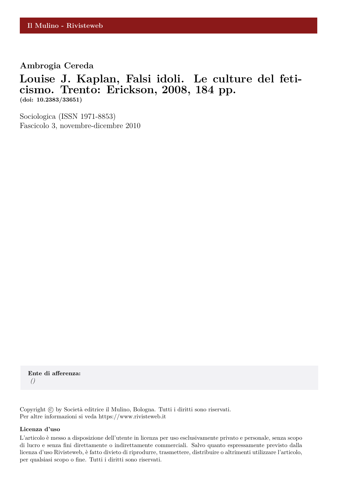## **Ambrogia Cereda**

## **Louise J. Kaplan, Falsi idoli. Le culture del feticismo. Trento: Erickson, 2008, 184 pp. (doi: 10.2383/33651)**

Sociologica (ISSN 1971-8853) Fascicolo 3, novembre-dicembre 2010

**Ente di afferenza:** *()*

Copyright © by Società editrice il Mulino, Bologna. Tutti i diritti sono riservati. Per altre informazioni si veda https://www.rivisteweb.it

## **Licenza d'uso**

L'articolo è messo a disposizione dell'utente in licenza per uso esclusivamente privato e personale, senza scopo di lucro e senza fini direttamente o indirettamente commerciali. Salvo quanto espressamente previsto dalla licenza d'uso Rivisteweb, è fatto divieto di riprodurre, trasmettere, distribuire o altrimenti utilizzare l'articolo, per qualsiasi scopo o fine. Tutti i diritti sono riservati.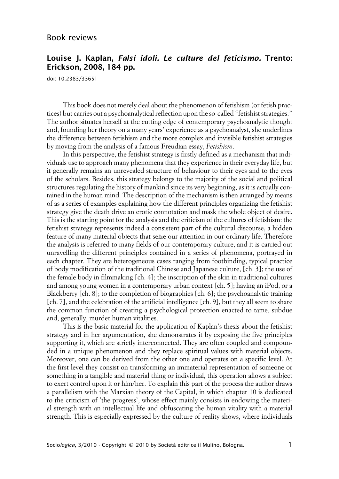## **Louise J. Kaplan, Falsi idoli. Le culture del feticismo. Trento: Erickson, 2008, 184 pp.**

doi: 10.2383/33651

This book does not merely deal about the phenomenon of fetishism (or fetish practices) but carries out a psychoanalytical reflection upon the so-called "fetishist strategies." The author situates herself at the cutting edge of contemporary psychoanalytic thought and, founding her theory on a many years' experience as a psychoanalyst, she underlines the difference between fetishism and the more complex and invisible fetishist strategies by moving from the analysis of a famous Freudian essay, *Fetishism*.

In this perspective, the fetishist strategy is firstly defined as a mechanism that individuals use to approach many phenomena that they experience in their everyday life, but it generally remains an unrevealed structure of behaviour to their eyes and to the eyes of the scholars. Besides, this strategy belongs to the majority of the social and political structures regulating the history of mankind since its very beginning, as it is actually contained in the human mind. The description of the mechanism is then arranged by means of as a series of examples explaining how the different principles organizing the fetishist strategy give the death drive an erotic connotation and mask the whole object of desire. This is the starting point for the analysis and the criticism of the cultures of fetishism: the fetishist strategy represents indeed a consistent part of the cultural discourse, a hidden feature of many material objects that seize our attention in our ordinary life. Therefore the analysis is referred to many fields of our contemporary culture, and it is carried out unravelling the different principles contained in a series of phenomena, portrayed in each chapter. They are heterogeneous cases ranging from footbinding, typical practice of body modification of the traditional Chinese and Japanese culture, [ch. 3]; the use of the female body in filmmaking [ch. 4]; the inscription of the skin in traditional cultures and among young women in a contemporary urban context [ch. 5]; having an iPod, or a Blackberry [ch. 8]; to the completion of biographies [ch. 6]; the psychoanalytic training [ch. 7], and the celebration of the artificial intelligence [ch. 9], but they all seem to share the common function of creating a psychological protection enacted to tame, subdue and, generally, murder human vitalities.

This is the basic material for the application of Kaplan's thesis about the fetishist strategy and in her argumentation, she demonstrates it by exposing the five principles supporting it, which are strictly interconnected. They are often coupled and compounded in a unique phenomenon and they replace spiritual values with material objects. Moreover, one can be derived from the other one and operates on a specific level. At the first level they consist on transforming an immaterial representation of someone or something in a tangible and material thing or individual, this operation allows a subject to exert control upon it or him/her. To explain this part of the process the author draws a parallelism with the Marxian theory of the Capital, in which chapter 10 is dedicated to the criticism of 'the progress', whose effect mainly consists in endowing the material strength with an intellectual life and obfuscating the human vitality with a material strength. This is especially expressed by the culture of reality shows, where individuals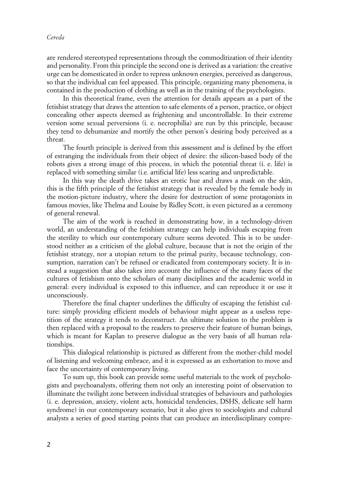are rendered stereotyped representations through the commoditization of their identity and personality. From this principle the second one is derived as a variation: the creative urge can be domesticated in order to repress unknown energies, perceived as dangerous, so that the individual can feel appeased. This principle, organizing many phenomena, is contained in the production of clothing as well as in the training of the psychologists.

In this theoretical frame, even the attention for details appears as a part of the fetishist strategy that draws the attention to safe elements of a person, practice, or object concealing other aspects deemed as frightening and uncontrollable. In their extreme version some sexual perversions (i. e. necrophilia) are run by this principle, because they tend to dehumanize and mortify the other person's desiring body perceived as a threat.

The fourth principle is derived from this assessment and is defined by the effort of estranging the individuals from their object of desire: the silicon-based body of the robots gives a strong image of this process, in which the potential threat (i. e. life) is replaced with something similar (i.e. artificial life) less scaring and unpredictable.

In this way the death drive takes an erotic hue and draws a mask on the skin, this is the fifth principle of the fetishist strategy that is revealed by the female body in the motion-picture industry, where the desire for destruction of some protagonists in famous movies, like Thelma and Louise by Ridley Scott, is even pictured as a ceremony of general renewal.

The aim of the work is reached in demonstrating how, in a technology-driven world, an understanding of the fetishism strategy can help individuals escaping from the sterility to which our contemporary culture seems devoted. This is to be understood neither as a criticism of the global culture, because that is not the origin of the fetishist strategy, nor a utopian return to the primal purity, because technology, consumption, narration can't be refused or eradicated from contemporary society. It is instead a suggestion that also takes into account the influence of the many faces of the cultures of fetishism onto the scholars of many disciplines and the academic world in general: every individual is exposed to this influence, and can reproduce it or use it unconsciously.

Therefore the final chapter underlines the difficulty of escaping the fetishist culture: simply providing efficient models of behaviour might appear as a useless repetition of the strategy it tends to deconstruct. An ultimate solution to the problem is then replaced with a proposal to the readers to preserve their feature of human beings, which is meant for Kaplan to preserve dialogue as the very basis of all human relationships.

This dialogical relationship is pictured as different from the mother-child model of listening and welcoming embrace, and it is expressed as an exhortation to move and face the uncertainty of contemporary living.

To sum up, this book can provide some useful materials to the work of psychologists and psychoanalysts, offering them not only an interesting point of observation to illuminate the twilight zone between individual strategies of behaviours and pathologies (i. e. depression, anxiety, violent acts, homicidal tendencies, DSHS, delicate self harm syndrome) in our contemporary scenario, but it also gives to sociologists and cultural analysts a series of good starting points that can produce an interdisciplinary compre